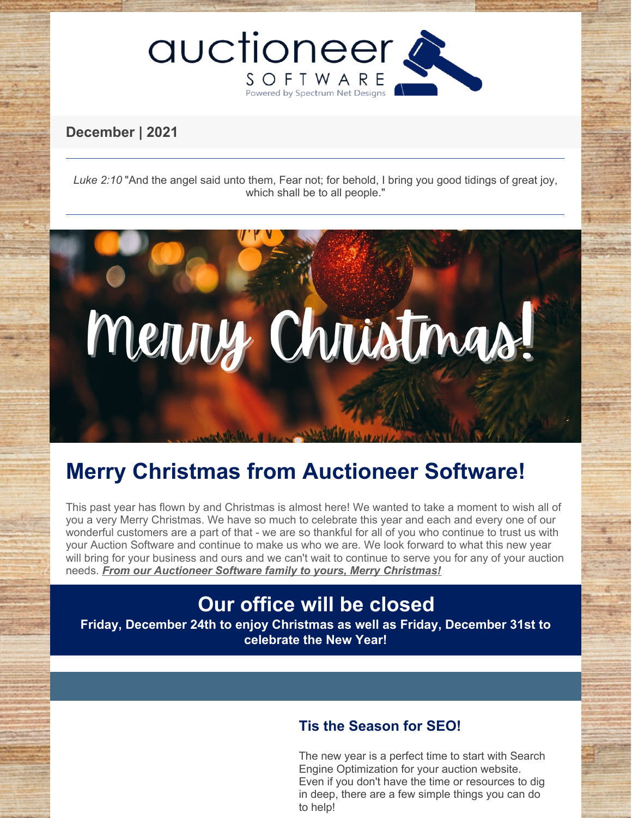

## **December | 2021**

*Luke 2:10* "And the angel said unto them, Fear not; for behold, I bring you good tidings of great joy, which shall be to all people."



# **Merry Christmas from Auctioneer Software!**

This past year has flown by and Christmas is almost here! We wanted to take a moment to wish all of you a very Merry Christmas. We have so much to celebrate this year and each and every one of our wonderful customers are a part of that - we are so thankful for all of you who continue to trust us with your Auction Software and continue to make us who we are. We look forward to what this new year will bring for your business and ours and we can't wait to continue to serve you for any of your auction needs. *From our Auctioneer Software family to yours, Merry Christmas!*

## **Our office will be closed**

**Friday, December 24th to enjoy Christmas as well as Friday, December 31st to celebrate the New Year!**

### **Tis the Season for SEO!**

The new year is a perfect time to start with Search Engine Optimization for your auction website. Even if you don't have the time or resources to dig in deep, there are a few simple things you can do to help!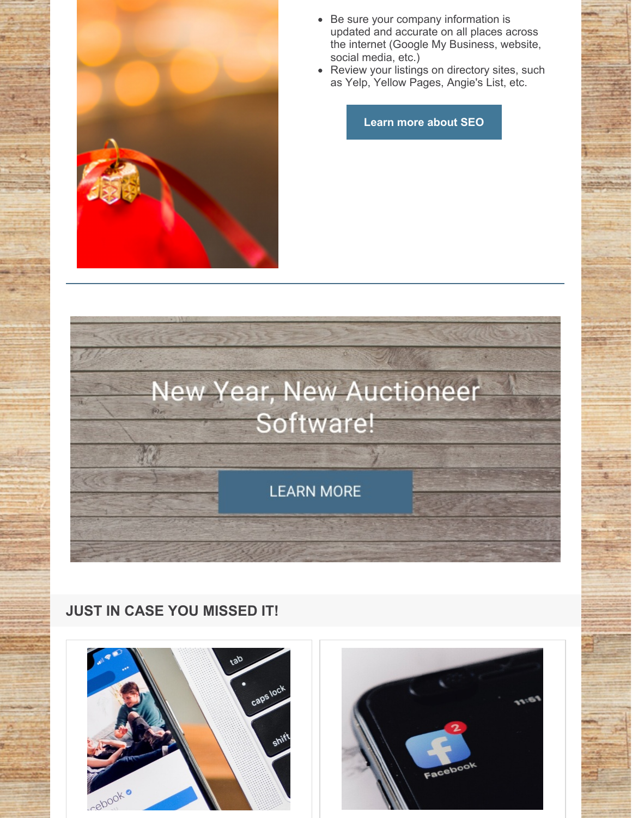

- Be sure your company information is updated and accurate on all places across the internet (Google My Business, website, social media, etc.)
- Review your listings on directory sites, such as Yelp, Yellow Pages, Angie's List, etc.

**Learn more [about](https://www.auctioneersoftware.com/auction-online-marketing/) SEO**



## **JUST IN CASE YOU MISSED IT!**